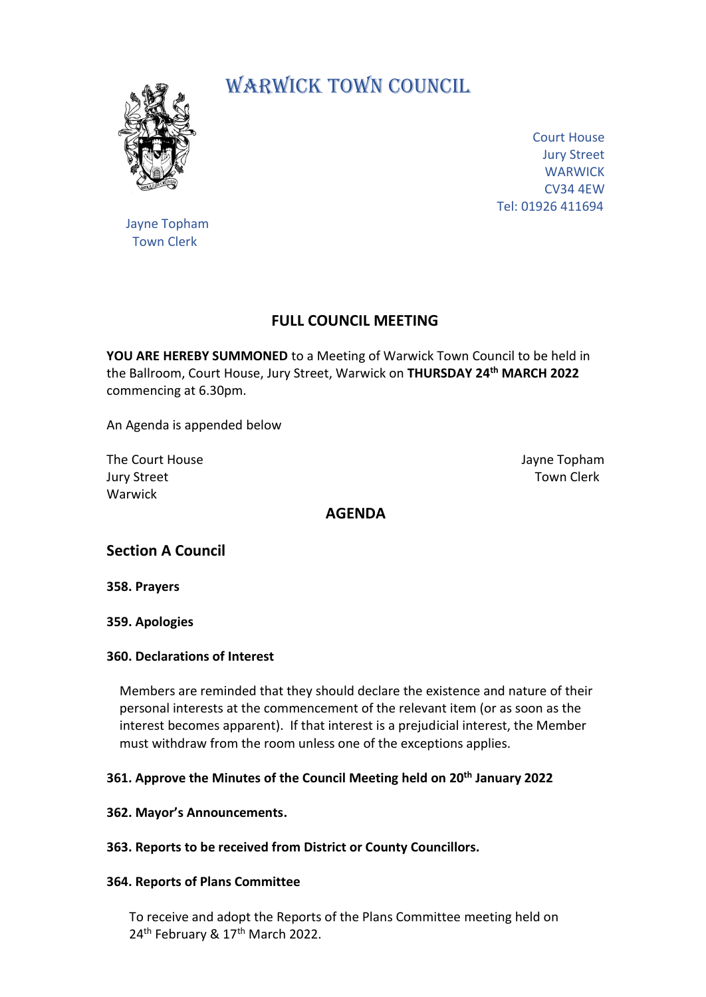

# WARWICK TOWN COUNCIL.

Court House Jury Street **WARWICK** CV34 4EW Tel: 01926 411694

 Jayne Topham Town Clerk

## **FULL COUNCIL MEETING**

**YOU ARE HEREBY SUMMONED** to a Meeting of Warwick Town Council to be held in the Ballroom, Court House, Jury Street, Warwick on **THURSDAY 24th MARCH 2022** commencing at 6.30pm.

An Agenda is appended below

The Court House Jayne Topham **Jury Street Town Clerk** Town Clerk Warwick

## **AGENDA**

## **Section A Council**

**358. Prayers**

#### **359. Apologies**

#### **360. Declarations of Interest**

Members are reminded that they should declare the existence and nature of their personal interests at the commencement of the relevant item (or as soon as the interest becomes apparent). If that interest is a prejudicial interest, the Member must withdraw from the room unless one of the exceptions applies.

#### **361. Approve the Minutes of the Council Meeting held on 20th January 2022**

#### **362. Mayor's Announcements.**

**363. Reports to be received from District or County Councillors.**

#### **364. Reports of Plans Committee**

 To receive and adopt the Reports of the Plans Committee meeting held on 24<sup>th</sup> February & 17<sup>th</sup> March 2022.